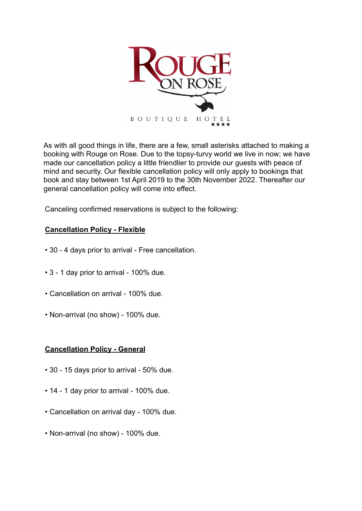

As with all good things in life, there are a few, small asterisks attached to making a booking with Rouge on Rose. Due to the topsy-turvy world we live in now; we have made our cancellation policy a little friendlier to provide our guests with peace of mind and security. Our flexible cancellation policy will only apply to bookings that book and stay between 1st April 2019 to the 30th November 2022. Thereafter our general cancellation policy will come into effect.

Canceling confirmed reservations is subject to the following:

## **Cancellation Policy - Flexible**

- 30 4 days prior to arrival Free cancellation.
- 3 1 day prior to arrival 100% due.
- Cancellation on arrival 100% due.
- Non-arrival (no show) 100% due.

## **Cancellation Policy - General**

- 30 15 days prior to arrival 50% due.
- 14 1 day prior to arrival 100% due.
- Cancellation on arrival day 100% due.
- Non-arrival (no show) 100% due.